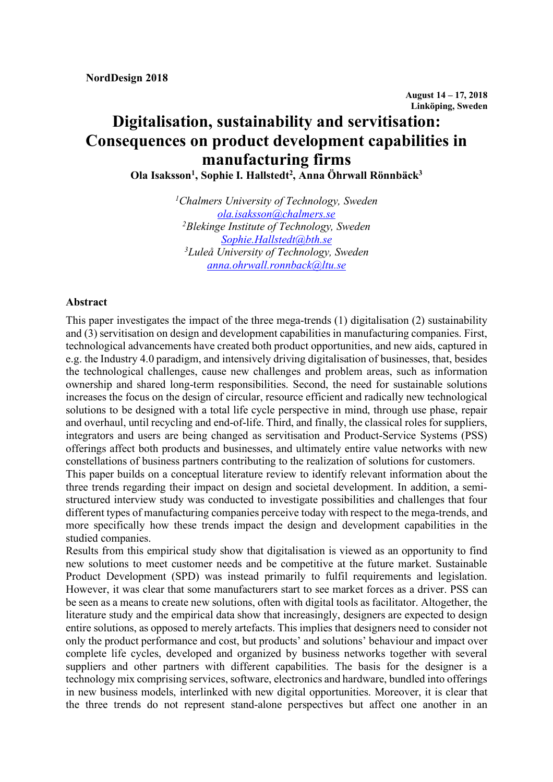# **Digitalisation, sustainability and servitisation: Consequences on product development capabilities in manufacturing firms**

**Ola Isaksson1 , Sophie I. Hallstedt2 , Anna Öhrwall Rönnbäck3**

*1 Chalmers University of Technology, Sweden ola.isaksson@chalmers.se 2 Blekinge Institute of Technology, Sweden Sophie.Hallstedt@bth.se 3 Luleå University of Technology, Sweden anna.ohrwall.ronnback@ltu.se*

#### **Abstract**

This paper investigates the impact of the three mega-trends (1) digitalisation (2) sustainability and (3) servitisation on design and development capabilities in manufacturing companies. First, technological advancements have created both product opportunities, and new aids, captured in e.g. the Industry 4.0 paradigm, and intensively driving digitalisation of businesses, that, besides the technological challenges, cause new challenges and problem areas, such as information ownership and shared long-term responsibilities. Second, the need for sustainable solutions increases the focus on the design of circular, resource efficient and radically new technological solutions to be designed with a total life cycle perspective in mind, through use phase, repair and overhaul, until recycling and end-of-life. Third, and finally, the classical roles for suppliers, integrators and users are being changed as servitisation and Product-Service Systems (PSS) offerings affect both products and businesses, and ultimately entire value networks with new constellations of business partners contributing to the realization of solutions for customers.

This paper builds on a conceptual literature review to identify relevant information about the three trends regarding their impact on design and societal development. In addition, a semistructured interview study was conducted to investigate possibilities and challenges that four different types of manufacturing companies perceive today with respect to the mega-trends, and more specifically how these trends impact the design and development capabilities in the studied companies.

Results from this empirical study show that digitalisation is viewed as an opportunity to find new solutions to meet customer needs and be competitive at the future market. Sustainable Product Development (SPD) was instead primarily to fulfil requirements and legislation. However, it was clear that some manufacturers start to see market forces as a driver. PSS can be seen as a means to create new solutions, often with digital tools as facilitator. Altogether, the literature study and the empirical data show that increasingly, designers are expected to design entire solutions, as opposed to merely artefacts. This implies that designers need to consider not only the product performance and cost, but products' and solutions' behaviour and impact over complete life cycles, developed and organized by business networks together with several suppliers and other partners with different capabilities. The basis for the designer is a technology mix comprising services, software, electronics and hardware, bundled into offerings in new business models, interlinked with new digital opportunities. Moreover, it is clear that the three trends do not represent stand-alone perspectives but affect one another in an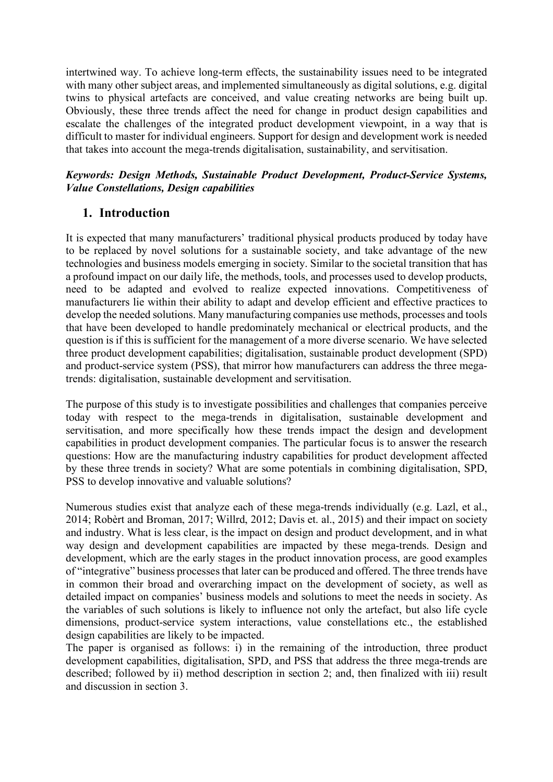intertwined way. To achieve long-term effects, the sustainability issues need to be integrated with many other subject areas, and implemented simultaneously as digital solutions, e.g. digital twins to physical artefacts are conceived, and value creating networks are being built up. Obviously, these three trends affect the need for change in product design capabilities and escalate the challenges of the integrated product development viewpoint, in a way that is difficult to master for individual engineers. Support for design and development work is needed that takes into account the mega-trends digitalisation, sustainability, and servitisation.

# *Keywords: Design Methods, Sustainable Product Development, Product-Service Systems, Value Constellations, Design capabilities*

# **1. Introduction**

It is expected that many manufacturers' traditional physical products produced by today have to be replaced by novel solutions for a sustainable society, and take advantage of the new technologies and business models emerging in society. Similar to the societal transition that has a profound impact on our daily life, the methods, tools, and processes used to develop products, need to be adapted and evolved to realize expected innovations. Competitiveness of manufacturers lie within their ability to adapt and develop efficient and effective practices to develop the needed solutions. Many manufacturing companies use methods, processes and tools that have been developed to handle predominately mechanical or electrical products, and the question is if this is sufficient for the management of a more diverse scenario. We have selected three product development capabilities; digitalisation, sustainable product development (SPD) and product-service system (PSS), that mirror how manufacturers can address the three megatrends: digitalisation, sustainable development and servitisation.

The purpose of this study is to investigate possibilities and challenges that companies perceive today with respect to the mega-trends in digitalisation, sustainable development and servitisation, and more specifically how these trends impact the design and development capabilities in product development companies. The particular focus is to answer the research questions: How are the manufacturing industry capabilities for product development affected by these three trends in society? What are some potentials in combining digitalisation, SPD, PSS to develop innovative and valuable solutions?

Numerous studies exist that analyze each of these mega-trends individually (e.g. Lazl, et al., 2014; Robèrt and Broman, 2017; Willrd, 2012; Davis et. al., 2015) and their impact on society and industry. What is less clear, is the impact on design and product development, and in what way design and development capabilities are impacted by these mega-trends. Design and development, which are the early stages in the product innovation process, are good examples of "integrative" business processes that later can be produced and offered. The three trends have in common their broad and overarching impact on the development of society, as well as detailed impact on companies' business models and solutions to meet the needs in society. As the variables of such solutions is likely to influence not only the artefact, but also life cycle dimensions, product-service system interactions, value constellations etc., the established design capabilities are likely to be impacted.

The paper is organised as follows: i) in the remaining of the introduction, three product development capabilities, digitalisation, SPD, and PSS that address the three mega-trends are described; followed by ii) method description in section 2; and, then finalized with iii) result and discussion in section 3.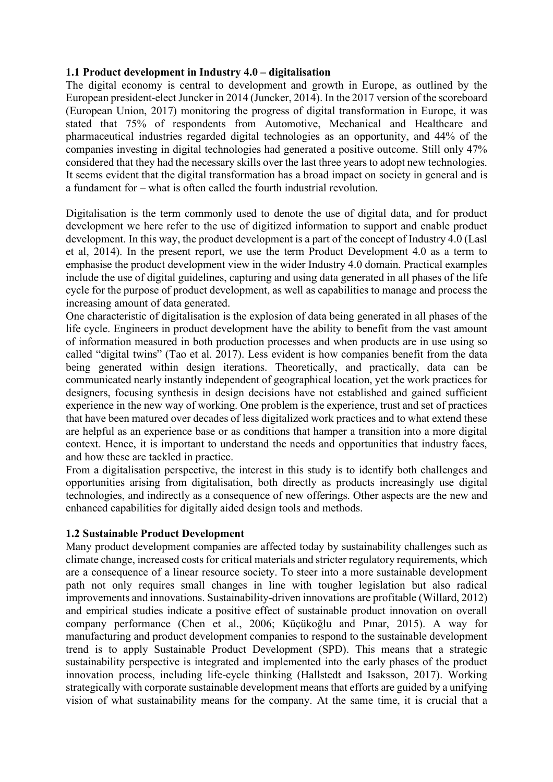### **1.1 Product development in Industry 4.0 – digitalisation**

The digital economy is central to development and growth in Europe, as outlined by the European president-elect Juncker in 2014 (Juncker, 2014). In the 2017 version of the scoreboard (European Union, 2017) monitoring the progress of digital transformation in Europe, it was stated that 75% of respondents from Automotive, Mechanical and Healthcare and pharmaceutical industries regarded digital technologies as an opportunity, and 44% of the companies investing in digital technologies had generated a positive outcome. Still only 47% considered that they had the necessary skills over the last three years to adopt new technologies. It seems evident that the digital transformation has a broad impact on society in general and is a fundament for – what is often called the fourth industrial revolution.

Digitalisation is the term commonly used to denote the use of digital data, and for product development we here refer to the use of digitized information to support and enable product development. In this way, the product development is a part of the concept of Industry 4.0 (Lasl et al, 2014). In the present report, we use the term Product Development 4.0 as a term to emphasise the product development view in the wider Industry 4.0 domain. Practical examples include the use of digital guidelines, capturing and using data generated in all phases of the life cycle for the purpose of product development, as well as capabilities to manage and process the increasing amount of data generated.

One characteristic of digitalisation is the explosion of data being generated in all phases of the life cycle. Engineers in product development have the ability to benefit from the vast amount of information measured in both production processes and when products are in use using so called "digital twins" (Tao et al. 2017). Less evident is how companies benefit from the data being generated within design iterations. Theoretically, and practically, data can be communicated nearly instantly independent of geographical location, yet the work practices for designers, focusing synthesis in design decisions have not established and gained sufficient experience in the new way of working. One problem is the experience, trust and set of practices that have been matured over decades of less digitalized work practices and to what extend these are helpful as an experience base or as conditions that hamper a transition into a more digital context. Hence, it is important to understand the needs and opportunities that industry faces, and how these are tackled in practice.

From a digitalisation perspective, the interest in this study is to identify both challenges and opportunities arising from digitalisation, both directly as products increasingly use digital technologies, and indirectly as a consequence of new offerings. Other aspects are the new and enhanced capabilities for digitally aided design tools and methods.

## **1.2 Sustainable Product Development**

Many product development companies are affected today by sustainability challenges such as climate change, increased costs for critical materials and stricter regulatory requirements, which are a consequence of a linear resource society. To steer into a more sustainable development path not only requires small changes in line with tougher legislation but also radical improvements and innovations. Sustainability-driven innovations are profitable (Willard, 2012) and empirical studies indicate a positive effect of sustainable product innovation on overall company performance (Chen et al., 2006; Küçükoğlu and Pınar, 2015). A way for manufacturing and product development companies to respond to the sustainable development trend is to apply Sustainable Product Development (SPD). This means that a strategic sustainability perspective is integrated and implemented into the early phases of the product innovation process, including life-cycle thinking (Hallstedt and Isaksson, 2017). Working strategically with corporate sustainable development means that efforts are guided by a unifying vision of what sustainability means for the company. At the same time, it is crucial that a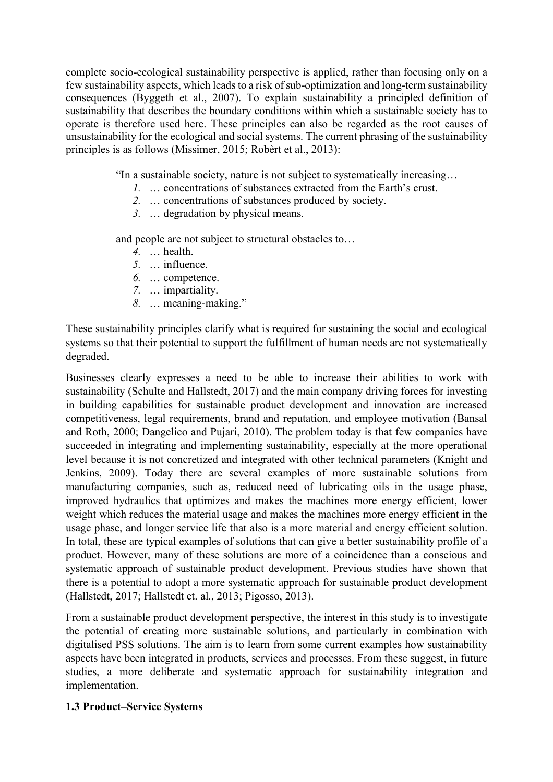complete socio-ecological sustainability perspective is applied, rather than focusing only on a few sustainability aspects, which leads to a risk of sub-optimization and long-term sustainability consequences (Byggeth et al., 2007). To explain sustainability a principled definition of sustainability that describes the boundary conditions within which a sustainable society has to operate is therefore used here. These principles can also be regarded as the root causes of unsustainability for the ecological and social systems. The current phrasing of the sustainability principles is as follows (Missimer, 2015; Robèrt et al., 2013):

"In a sustainable society, nature is not subject to systematically increasing…

- *1.* … concentrations of substances extracted from the Earth's crust.
- *2.* … concentrations of substances produced by society.
- *3.* … degradation by physical means.

and people are not subject to structural obstacles to…

- *4.* … health.
- *5.* … influence.
- *6.* … competence.
- *7.* … impartiality.
- *8.* … meaning-making."

These sustainability principles clarify what is required for sustaining the social and ecological systems so that their potential to support the fulfillment of human needs are not systematically degraded.

Businesses clearly expresses a need to be able to increase their abilities to work with sustainability (Schulte and Hallstedt, 2017) and the main company driving forces for investing in building capabilities for sustainable product development and innovation are increased competitiveness, legal requirements, brand and reputation, and employee motivation (Bansal and Roth, 2000; Dangelico and Pujari, 2010). The problem today is that few companies have succeeded in integrating and implementing sustainability, especially at the more operational level because it is not concretized and integrated with other technical parameters (Knight and Jenkins, 2009). Today there are several examples of more sustainable solutions from manufacturing companies, such as, reduced need of lubricating oils in the usage phase, improved hydraulics that optimizes and makes the machines more energy efficient, lower weight which reduces the material usage and makes the machines more energy efficient in the usage phase, and longer service life that also is a more material and energy efficient solution. In total, these are typical examples of solutions that can give a better sustainability profile of a product. However, many of these solutions are more of a coincidence than a conscious and systematic approach of sustainable product development. Previous studies have shown that there is a potential to adopt a more systematic approach for sustainable product development (Hallstedt, 2017; Hallstedt et. al., 2013; Pigosso, 2013).

From a sustainable product development perspective, the interest in this study is to investigate the potential of creating more sustainable solutions, and particularly in combination with digitalised PSS solutions. The aim is to learn from some current examples how sustainability aspects have been integrated in products, services and processes. From these suggest, in future studies, a more deliberate and systematic approach for sustainability integration and implementation.

## **1.3 Product–Service Systems**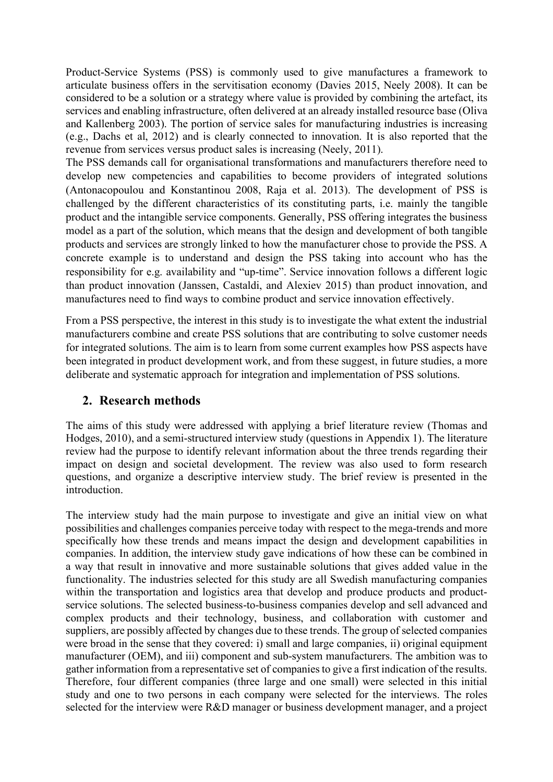Product-Service Systems (PSS) is commonly used to give manufactures a framework to articulate business offers in the servitisation economy (Davies 2015, Neely 2008). It can be considered to be a solution or a strategy where value is provided by combining the artefact, its services and enabling infrastructure, often delivered at an already installed resource base (Oliva and Kallenberg 2003). The portion of service sales for manufacturing industries is increasing (e.g., Dachs et al, 2012) and is clearly connected to innovation. It is also reported that the revenue from services versus product sales is increasing (Neely, 2011).

The PSS demands call for organisational transformations and manufacturers therefore need to develop new competencies and capabilities to become providers of integrated solutions (Antonacopoulou and Konstantinou 2008, Raja et al. 2013). The development of PSS is challenged by the different characteristics of its constituting parts, i.e. mainly the tangible product and the intangible service components. Generally, PSS offering integrates the business model as a part of the solution, which means that the design and development of both tangible products and services are strongly linked to how the manufacturer chose to provide the PSS. A concrete example is to understand and design the PSS taking into account who has the responsibility for e.g. availability and "up-time". Service innovation follows a different logic than product innovation (Janssen, Castaldi, and Alexiev 2015) than product innovation, and manufactures need to find ways to combine product and service innovation effectively.

From a PSS perspective, the interest in this study is to investigate the what extent the industrial manufacturers combine and create PSS solutions that are contributing to solve customer needs for integrated solutions. The aim is to learn from some current examples how PSS aspects have been integrated in product development work, and from these suggest, in future studies, a more deliberate and systematic approach for integration and implementation of PSS solutions.

# **2. Research methods**

The aims of this study were addressed with applying a brief literature review (Thomas and Hodges, 2010), and a semi-structured interview study (questions in Appendix 1). The literature review had the purpose to identify relevant information about the three trends regarding their impact on design and societal development. The review was also used to form research questions, and organize a descriptive interview study. The brief review is presented in the introduction.

The interview study had the main purpose to investigate and give an initial view on what possibilities and challenges companies perceive today with respect to the mega-trends and more specifically how these trends and means impact the design and development capabilities in companies. In addition, the interview study gave indications of how these can be combined in a way that result in innovative and more sustainable solutions that gives added value in the functionality. The industries selected for this study are all Swedish manufacturing companies within the transportation and logistics area that develop and produce products and productservice solutions. The selected business-to-business companies develop and sell advanced and complex products and their technology, business, and collaboration with customer and suppliers, are possibly affected by changes due to these trends. The group of selected companies were broad in the sense that they covered: i) small and large companies, ii) original equipment manufacturer (OEM), and iii) component and sub-system manufacturers. The ambition was to gather information from a representative set of companies to give a first indication of the results. Therefore, four different companies (three large and one small) were selected in this initial study and one to two persons in each company were selected for the interviews. The roles selected for the interview were R&D manager or business development manager, and a project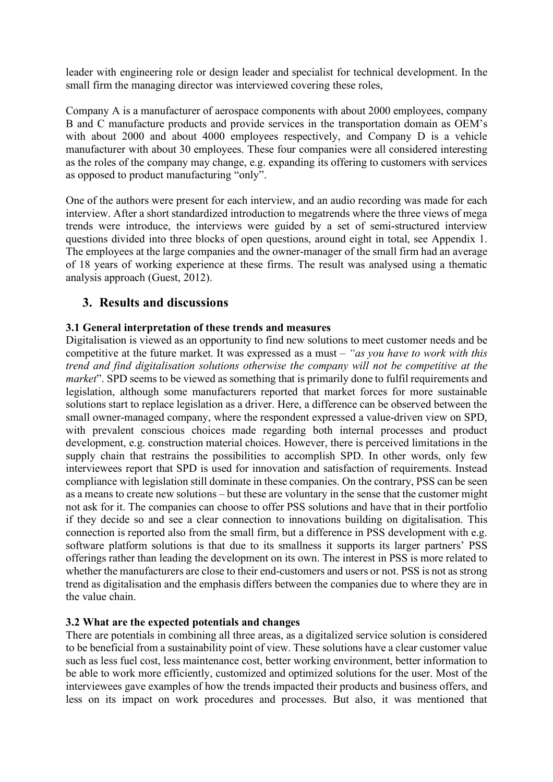leader with engineering role or design leader and specialist for technical development. In the small firm the managing director was interviewed covering these roles,

Company A is a manufacturer of aerospace components with about 2000 employees, company B and C manufacture products and provide services in the transportation domain as OEM's with about 2000 and about 4000 employees respectively, and Company D is a vehicle manufacturer with about 30 employees. These four companies were all considered interesting as the roles of the company may change, e.g. expanding its offering to customers with services as opposed to product manufacturing "only".

One of the authors were present for each interview, and an audio recording was made for each interview. After a short standardized introduction to megatrends where the three views of mega trends were introduce, the interviews were guided by a set of semi-structured interview questions divided into three blocks of open questions, around eight in total, see Appendix 1. The employees at the large companies and the owner-manager of the small firm had an average of 18 years of working experience at these firms. The result was analysed using a thematic analysis approach (Guest, 2012).

# **3. Results and discussions**

## **3.1 General interpretation of these trends and measures**

Digitalisation is viewed as an opportunity to find new solutions to meet customer needs and be competitive at the future market. It was expressed as a must – *"as you have to work with this trend and find digitalisation solutions otherwise the company will not be competitive at the market*". SPD seems to be viewed as something that is primarily done to fulfil requirements and legislation, although some manufacturers reported that market forces for more sustainable solutions start to replace legislation as a driver. Here, a difference can be observed between the small owner-managed company, where the respondent expressed a value-driven view on SPD, with prevalent conscious choices made regarding both internal processes and product development, e.g. construction material choices. However, there is perceived limitations in the supply chain that restrains the possibilities to accomplish SPD. In other words, only few interviewees report that SPD is used for innovation and satisfaction of requirements. Instead compliance with legislation still dominate in these companies. On the contrary, PSS can be seen as a means to create new solutions – but these are voluntary in the sense that the customer might not ask for it. The companies can choose to offer PSS solutions and have that in their portfolio if they decide so and see a clear connection to innovations building on digitalisation. This connection is reported also from the small firm, but a difference in PSS development with e.g. software platform solutions is that due to its smallness it supports its larger partners' PSS offerings rather than leading the development on its own. The interest in PSS is more related to whether the manufacturers are close to their end-customers and users or not. PSS is not as strong trend as digitalisation and the emphasis differs between the companies due to where they are in the value chain.

## **3.2 What are the expected potentials and changes**

There are potentials in combining all three areas, as a digitalized service solution is considered to be beneficial from a sustainability point of view. These solutions have a clear customer value such as less fuel cost, less maintenance cost, better working environment, better information to be able to work more efficiently, customized and optimized solutions for the user. Most of the interviewees gave examples of how the trends impacted their products and business offers, and less on its impact on work procedures and processes. But also, it was mentioned that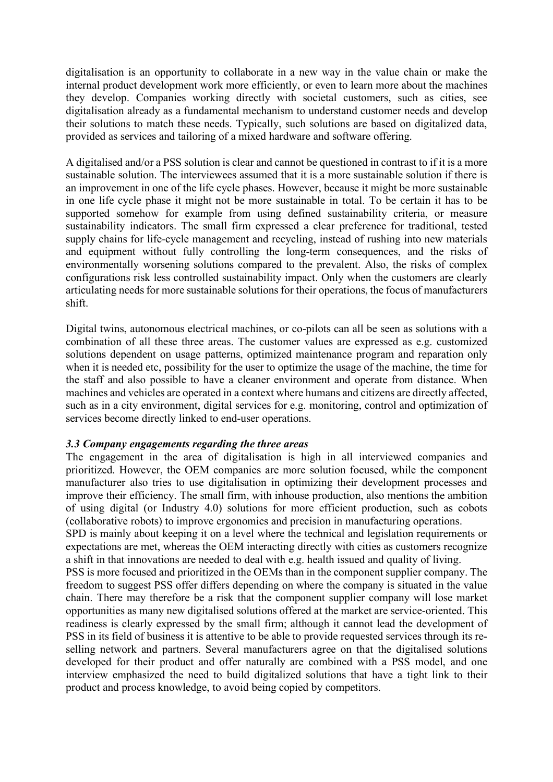digitalisation is an opportunity to collaborate in a new way in the value chain or make the internal product development work more efficiently, or even to learn more about the machines they develop. Companies working directly with societal customers, such as cities, see digitalisation already as a fundamental mechanism to understand customer needs and develop their solutions to match these needs. Typically, such solutions are based on digitalized data, provided as services and tailoring of a mixed hardware and software offering.

A digitalised and/or a PSS solution is clear and cannot be questioned in contrast to if it is a more sustainable solution. The interviewees assumed that it is a more sustainable solution if there is an improvement in one of the life cycle phases. However, because it might be more sustainable in one life cycle phase it might not be more sustainable in total. To be certain it has to be supported somehow for example from using defined sustainability criteria, or measure sustainability indicators. The small firm expressed a clear preference for traditional, tested supply chains for life-cycle management and recycling, instead of rushing into new materials and equipment without fully controlling the long-term consequences, and the risks of environmentally worsening solutions compared to the prevalent. Also, the risks of complex configurations risk less controlled sustainability impact. Only when the customers are clearly articulating needs for more sustainable solutions for their operations, the focus of manufacturers shift.

Digital twins, autonomous electrical machines, or co-pilots can all be seen as solutions with a combination of all these three areas. The customer values are expressed as e.g. customized solutions dependent on usage patterns, optimized maintenance program and reparation only when it is needed etc, possibility for the user to optimize the usage of the machine, the time for the staff and also possible to have a cleaner environment and operate from distance. When machines and vehicles are operated in a context where humans and citizens are directly affected, such as in a city environment, digital services for e.g. monitoring, control and optimization of services become directly linked to end-user operations.

#### *3.3 Company engagements regarding the three areas*

The engagement in the area of digitalisation is high in all interviewed companies and prioritized. However, the OEM companies are more solution focused, while the component manufacturer also tries to use digitalisation in optimizing their development processes and improve their efficiency. The small firm, with inhouse production, also mentions the ambition of using digital (or Industry 4.0) solutions for more efficient production, such as cobots (collaborative robots) to improve ergonomics and precision in manufacturing operations.

SPD is mainly about keeping it on a level where the technical and legislation requirements or expectations are met, whereas the OEM interacting directly with cities as customers recognize a shift in that innovations are needed to deal with e.g. health issued and quality of living.

PSS is more focused and prioritized in the OEMs than in the component supplier company. The freedom to suggest PSS offer differs depending on where the company is situated in the value chain. There may therefore be a risk that the component supplier company will lose market opportunities as many new digitalised solutions offered at the market are service-oriented. This readiness is clearly expressed by the small firm; although it cannot lead the development of PSS in its field of business it is attentive to be able to provide requested services through its reselling network and partners. Several manufacturers agree on that the digitalised solutions developed for their product and offer naturally are combined with a PSS model, and one interview emphasized the need to build digitalized solutions that have a tight link to their product and process knowledge, to avoid being copied by competitors.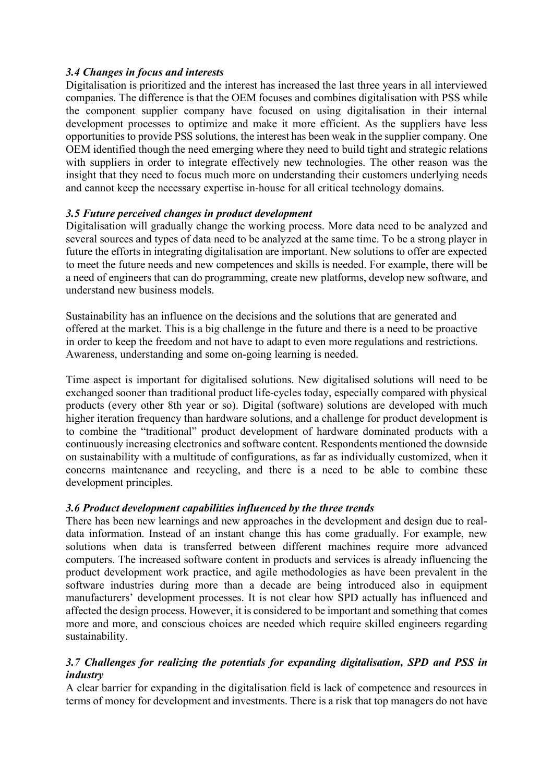# *3.4 Changes in focus and interests*

Digitalisation is prioritized and the interest has increased the last three years in all interviewed companies. The difference is that the OEM focuses and combines digitalisation with PSS while the component supplier company have focused on using digitalisation in their internal development processes to optimize and make it more efficient. As the suppliers have less opportunities to provide PSS solutions, the interest has been weak in the supplier company. One OEM identified though the need emerging where they need to build tight and strategic relations with suppliers in order to integrate effectively new technologies. The other reason was the insight that they need to focus much more on understanding their customers underlying needs and cannot keep the necessary expertise in-house for all critical technology domains.

# *3.5 Future perceived changes in product development*

Digitalisation will gradually change the working process. More data need to be analyzed and several sources and types of data need to be analyzed at the same time. To be a strong player in future the efforts in integrating digitalisation are important. New solutions to offer are expected to meet the future needs and new competences and skills is needed. For example, there will be a need of engineers that can do programming, create new platforms, develop new software, and understand new business models.

Sustainability has an influence on the decisions and the solutions that are generated and offered at the market. This is a big challenge in the future and there is a need to be proactive in order to keep the freedom and not have to adapt to even more regulations and restrictions. Awareness, understanding and some on-going learning is needed.

Time aspect is important for digitalised solutions. New digitalised solutions will need to be exchanged sooner than traditional product life-cycles today, especially compared with physical products (every other 8th year or so). Digital (software) solutions are developed with much higher iteration frequency than hardware solutions, and a challenge for product development is to combine the "traditional" product development of hardware dominated products with a continuously increasing electronics and software content. Respondents mentioned the downside on sustainability with a multitude of configurations, as far as individually customized, when it concerns maintenance and recycling, and there is a need to be able to combine these development principles.

# *3.6 Product development capabilities influenced by the three trends*

There has been new learnings and new approaches in the development and design due to realdata information. Instead of an instant change this has come gradually. For example, new solutions when data is transferred between different machines require more advanced computers. The increased software content in products and services is already influencing the product development work practice, and agile methodologies as have been prevalent in the software industries during more than a decade are being introduced also in equipment manufacturers' development processes. It is not clear how SPD actually has influenced and affected the design process. However, it is considered to be important and something that comes more and more, and conscious choices are needed which require skilled engineers regarding sustainability.

# *3.7 Challenges for realizing the potentials for expanding digitalisation, SPD and PSS in industry*

A clear barrier for expanding in the digitalisation field is lack of competence and resources in terms of money for development and investments. There is a risk that top managers do not have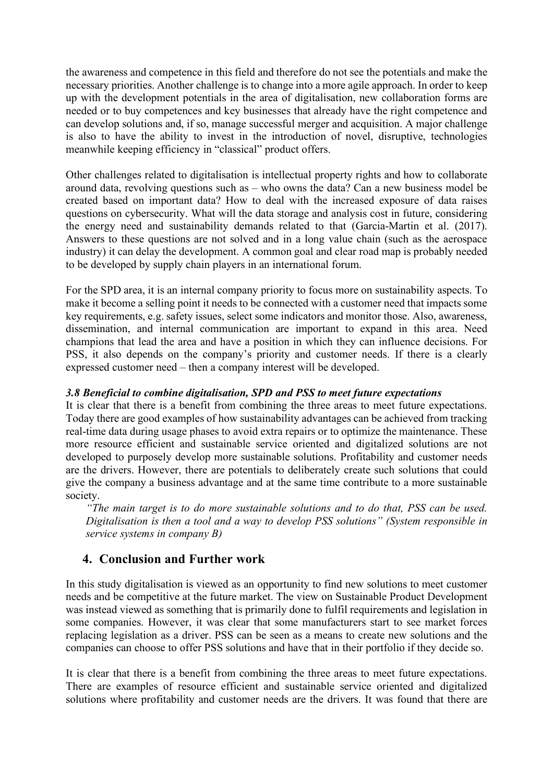the awareness and competence in this field and therefore do not see the potentials and make the necessary priorities. Another challenge is to change into a more agile approach. In order to keep up with the development potentials in the area of digitalisation, new collaboration forms are needed or to buy competences and key businesses that already have the right competence and can develop solutions and, if so, manage successful merger and acquisition. A major challenge is also to have the ability to invest in the introduction of novel, disruptive, technologies meanwhile keeping efficiency in "classical" product offers.

Other challenges related to digitalisation is intellectual property rights and how to collaborate around data, revolving questions such as – who owns the data? Can a new business model be created based on important data? How to deal with the increased exposure of data raises questions on cybersecurity. What will the data storage and analysis cost in future, considering the energy need and sustainability demands related to that (Garcia-Martin et al. (2017). Answers to these questions are not solved and in a long value chain (such as the aerospace industry) it can delay the development. A common goal and clear road map is probably needed to be developed by supply chain players in an international forum.

For the SPD area, it is an internal company priority to focus more on sustainability aspects. To make it become a selling point it needs to be connected with a customer need that impacts some key requirements, e.g. safety issues, select some indicators and monitor those. Also, awareness, dissemination, and internal communication are important to expand in this area. Need champions that lead the area and have a position in which they can influence decisions. For PSS, it also depends on the company's priority and customer needs. If there is a clearly expressed customer need – then a company interest will be developed.

## *3.8 Beneficial to combine digitalisation, SPD and PSS to meet future expectations*

It is clear that there is a benefit from combining the three areas to meet future expectations. Today there are good examples of how sustainability advantages can be achieved from tracking real-time data during usage phases to avoid extra repairs or to optimize the maintenance. These more resource efficient and sustainable service oriented and digitalized solutions are not developed to purposely develop more sustainable solutions. Profitability and customer needs are the drivers. However, there are potentials to deliberately create such solutions that could give the company a business advantage and at the same time contribute to a more sustainable society.

*"The main target is to do more sustainable solutions and to do that, PSS can be used. Digitalisation is then a tool and a way to develop PSS solutions" (System responsible in service systems in company B)*

# **4. Conclusion and Further work**

In this study digitalisation is viewed as an opportunity to find new solutions to meet customer needs and be competitive at the future market. The view on Sustainable Product Development was instead viewed as something that is primarily done to fulfil requirements and legislation in some companies. However, it was clear that some manufacturers start to see market forces replacing legislation as a driver. PSS can be seen as a means to create new solutions and the companies can choose to offer PSS solutions and have that in their portfolio if they decide so.

It is clear that there is a benefit from combining the three areas to meet future expectations. There are examples of resource efficient and sustainable service oriented and digitalized solutions where profitability and customer needs are the drivers. It was found that there are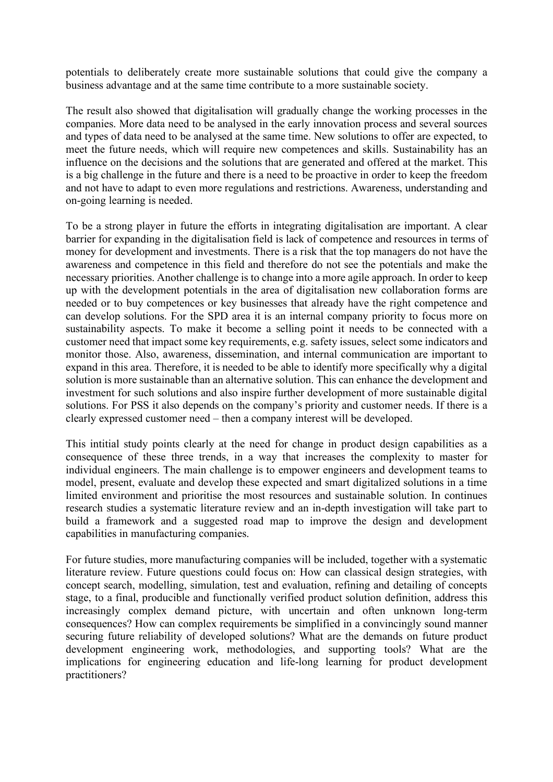potentials to deliberately create more sustainable solutions that could give the company a business advantage and at the same time contribute to a more sustainable society.

The result also showed that digitalisation will gradually change the working processes in the companies. More data need to be analysed in the early innovation process and several sources and types of data need to be analysed at the same time. New solutions to offer are expected, to meet the future needs, which will require new competences and skills. Sustainability has an influence on the decisions and the solutions that are generated and offered at the market. This is a big challenge in the future and there is a need to be proactive in order to keep the freedom and not have to adapt to even more regulations and restrictions. Awareness, understanding and on-going learning is needed.

To be a strong player in future the efforts in integrating digitalisation are important. A clear barrier for expanding in the digitalisation field is lack of competence and resources in terms of money for development and investments. There is a risk that the top managers do not have the awareness and competence in this field and therefore do not see the potentials and make the necessary priorities. Another challenge is to change into a more agile approach. In order to keep up with the development potentials in the area of digitalisation new collaboration forms are needed or to buy competences or key businesses that already have the right competence and can develop solutions. For the SPD area it is an internal company priority to focus more on sustainability aspects. To make it become a selling point it needs to be connected with a customer need that impact some key requirements, e.g. safety issues, select some indicators and monitor those. Also, awareness, dissemination, and internal communication are important to expand in this area. Therefore, it is needed to be able to identify more specifically why a digital solution is more sustainable than an alternative solution. This can enhance the development and investment for such solutions and also inspire further development of more sustainable digital solutions. For PSS it also depends on the company's priority and customer needs. If there is a clearly expressed customer need – then a company interest will be developed.

This intitial study points clearly at the need for change in product design capabilities as a consequence of these three trends, in a way that increases the complexity to master for individual engineers. The main challenge is to empower engineers and development teams to model, present, evaluate and develop these expected and smart digitalized solutions in a time limited environment and prioritise the most resources and sustainable solution. In continues research studies a systematic literature review and an in-depth investigation will take part to build a framework and a suggested road map to improve the design and development capabilities in manufacturing companies.

For future studies, more manufacturing companies will be included, together with a systematic literature review. Future questions could focus on: How can classical design strategies, with concept search, modelling, simulation, test and evaluation, refining and detailing of concepts stage, to a final, producible and functionally verified product solution definition, address this increasingly complex demand picture, with uncertain and often unknown long-term consequences? How can complex requirements be simplified in a convincingly sound manner securing future reliability of developed solutions? What are the demands on future product development engineering work, methodologies, and supporting tools? What are the implications for engineering education and life-long learning for product development practitioners?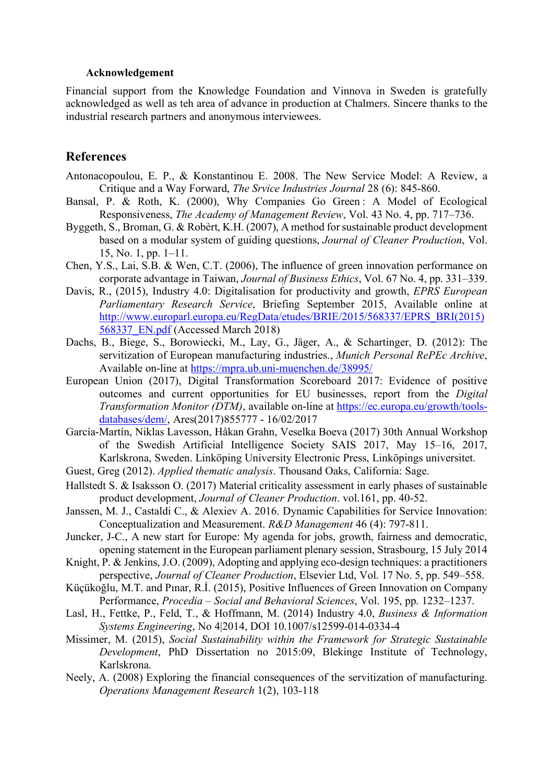#### **Acknowledgement**

Financial support from the Knowledge Foundation and Vinnova in Sweden is gratefully acknowledged as well as teh area of advance in production at Chalmers. Sincere thanks to the industrial research partners and anonymous interviewees.

# **References**

- Antonacopoulou, E. P., & Konstantinou E. 2008. The New Service Model: A Review, a Critique and a Way Forward, *The Srvice Industries Journal* 28 (6): 845-860.
- Bansal, P. & Roth, K. (2000), Why Companies Go Green : A Model of Ecological Responsiveness, *The Academy of Management Review*, Vol. 43 No. 4, pp. 717–736.
- Byggeth, S., Broman, G. & Robèrt, K.H. (2007), A method for sustainable product development based on a modular system of guiding questions, *Journal of Cleaner Production*, Vol. 15, No. 1, pp. 1–11.
- Chen, Y.S., Lai, S.B. & Wen, C.T. (2006), The influence of green innovation performance on corporate advantage in Taiwan, *Journal of Business Ethics*, Vol. 67 No. 4, pp. 331–339.
- Davis, R., (2015), Industry 4.0: Digitalisation for productivity and growth, *EPRS European Parliamentary Research Service*, Briefing September 2015, Available online at http://www.europarl.europa.eu/RegData/etudes/BRIE/2015/568337/EPRS\_BRI(2015) 568337\_EN.pdf (Accessed March 2018)
- Dachs, B., Biege, S., Borowiecki, M., Lay, G., Jäger, A., & Schartinger, D. (2012): The servitization of European manufacturing industries., *Munich Personal RePEc Archive*, Available on-line at https://mpra.ub.uni-muenchen.de/38995/
- European Union (2017), Digital Transformation Scoreboard 2017: Evidence of positive outcomes and current opportunities for EU businesses, report from the *Digital Transformation Monitor (DTM)*, available on-line at https://ec.europa.eu/growth/toolsdatabases/dem/, Ares(2017)855777 - 16/02/2017
- García-Martín, Niklas Lavesson, Håkan Grahn, Veselka Boeva (2017) 30th Annual Workshop of the Swedish Artificial Intelligence Society SAIS 2017, May 15–16, 2017, Karlskrona, Sweden. Linköping University Electronic Press, Linköpings universitet.
- Guest, Greg (2012). *Applied thematic analysis*. Thousand Oaks, California: Sage.
- Hallstedt S. & Isaksson O. (2017) Material criticality assessment in early phases of sustainable product development, *Journal of Cleaner Production*. vol.161, pp. 40-52.
- Janssen, M. J., Castaldi C., & Alexiev A. 2016. Dynamic Capabilities for Service Innovation: Conceptualization and Measurement. *R&D Management* 46 (4): 797-811.
- Juncker, J-C., A new start for Europe: My agenda for jobs, growth, fairness and democratic, opening statement in the European parliament plenary session, Strasbourg, 15 July 2014
- Knight, P. & Jenkins, J.O. (2009), Adopting and applying eco-design techniques: a practitioners perspective, *Journal of Cleaner Production*, Elsevier Ltd, Vol. 17 No. 5, pp. 549–558.
- Küçükoğlu, M.T. and Pınar, R.İ. (2015), Positive Influences of Green Innovation on Company Performance, *Procedia – Social and Behavioral Sciences*, Vol. 195, pp. 1232–1237.
- Lasl, H., Fettke, P., Feld, T., & Hoffmann, M. (2014) Industry 4.0, *Business & Information Systems Engineering*, No 4|2014, DOI 10.1007/s12599-014-0334-4
- Missimer, M. (2015), *Social Sustainability within the Framework for Strategic Sustainable Development*, PhD Dissertation no 2015:09, Blekinge Institute of Technology, Karlskrona.
- Neely, A. (2008) Exploring the financial consequences of the servitization of manufacturing. *Operations Management Research* 1(2), 103-118